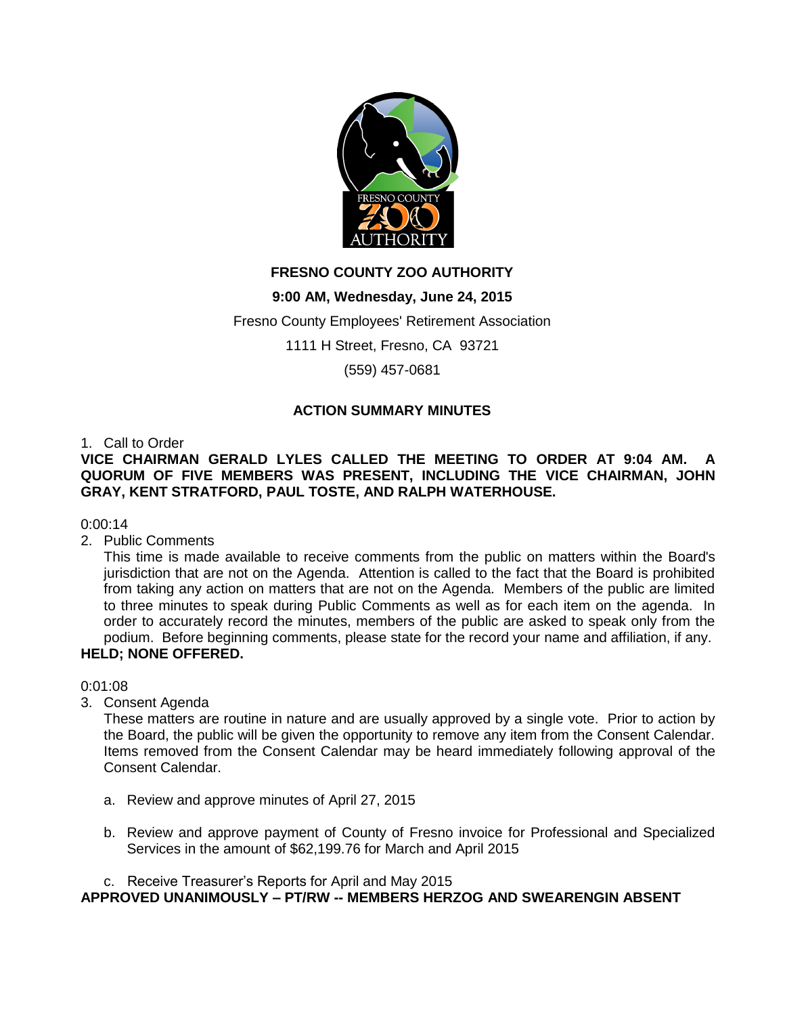

# **FRESNO COUNTY ZOO AUTHORITY**

## **9:00 AM, Wednesday, June 24, 2015**

Fresno County Employees' Retirement Association

1111 H Street, Fresno, CA 93721

(559) 457-0681

### **ACTION SUMMARY MINUTES**

1. Call to Order

### **VICE CHAIRMAN GERALD LYLES CALLED THE MEETING TO ORDER AT 9:04 AM. A QUORUM OF FIVE MEMBERS WAS PRESENT, INCLUDING THE VICE CHAIRMAN, JOHN GRAY, KENT STRATFORD, PAUL TOSTE, AND RALPH WATERHOUSE.**

0:00:14

2. Public Comments

This time is made available to receive comments from the public on matters within the Board's jurisdiction that are not on the Agenda. Attention is called to the fact that the Board is prohibited from taking any action on matters that are not on the Agenda. Members of the public are limited to three minutes to speak during Public Comments as well as for each item on the agenda. In order to accurately record the minutes, members of the public are asked to speak only from the podium. Before beginning comments, please state for the record your name and affiliation, if any.

# **HELD; NONE OFFERED.**

0:01:08

3. Consent Agenda

These matters are routine in nature and are usually approved by a single vote. Prior to action by the Board, the public will be given the opportunity to remove any item from the Consent Calendar. Items removed from the Consent Calendar may be heard immediately following approval of the Consent Calendar.

- a. Review and approve minutes of April 27, 2015
- b. Review and approve payment of County of Fresno invoice for Professional and Specialized Services in the amount of \$62,199.76 for March and April 2015

c. Receive Treasurer's Reports for April and May 2015 **APPROVED UNANIMOUSLY – PT/RW -- MEMBERS HERZOG AND SWEARENGIN ABSENT**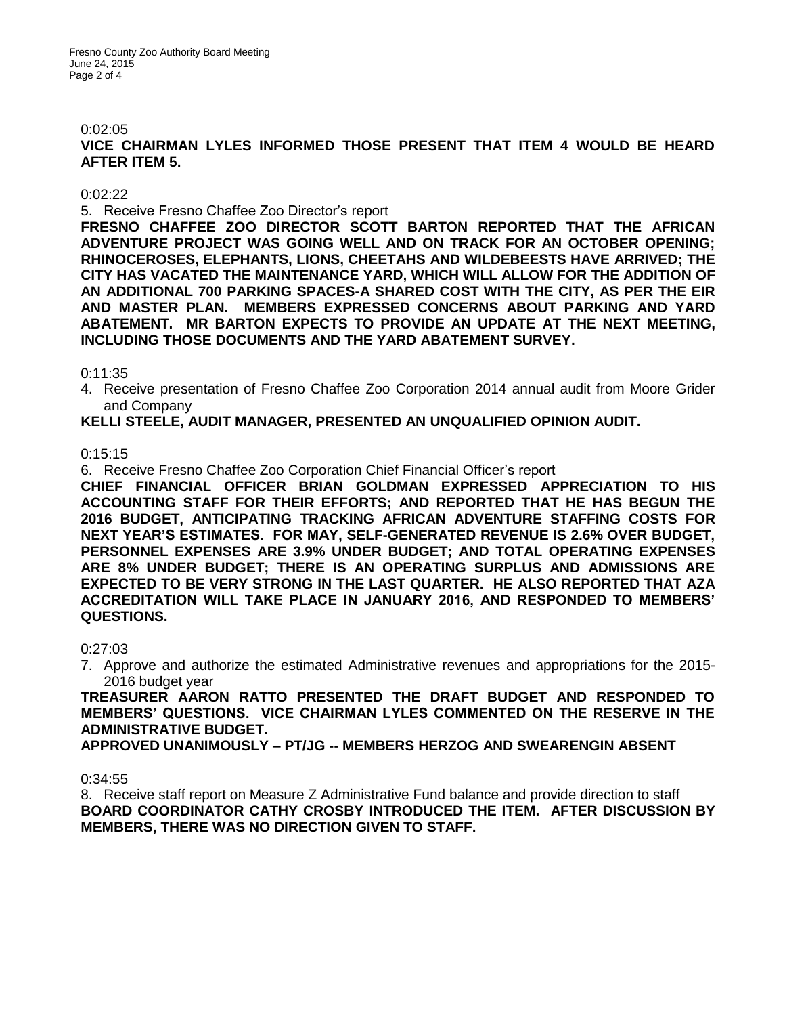#### 0:02:05

**VICE CHAIRMAN LYLES INFORMED THOSE PRESENT THAT ITEM 4 WOULD BE HEARD AFTER ITEM 5.**

#### 0:02:22

5. Receive Fresno Chaffee Zoo Director's report

**FRESNO CHAFFEE ZOO DIRECTOR SCOTT BARTON REPORTED THAT THE AFRICAN ADVENTURE PROJECT WAS GOING WELL AND ON TRACK FOR AN OCTOBER OPENING; RHINOCEROSES, ELEPHANTS, LIONS, CHEETAHS AND WILDEBEESTS HAVE ARRIVED; THE CITY HAS VACATED THE MAINTENANCE YARD, WHICH WILL ALLOW FOR THE ADDITION OF AN ADDITIONAL 700 PARKING SPACES-A SHARED COST WITH THE CITY, AS PER THE EIR AND MASTER PLAN. MEMBERS EXPRESSED CONCERNS ABOUT PARKING AND YARD ABATEMENT. MR BARTON EXPECTS TO PROVIDE AN UPDATE AT THE NEXT MEETING, INCLUDING THOSE DOCUMENTS AND THE YARD ABATEMENT SURVEY.** 

0:11:35

4. Receive presentation of Fresno Chaffee Zoo Corporation 2014 annual audit from Moore Grider and Company

#### **KELLI STEELE, AUDIT MANAGER, PRESENTED AN UNQUALIFIED OPINION AUDIT.**

0:15:15

6. Receive Fresno Chaffee Zoo Corporation Chief Financial Officer's report

**CHIEF FINANCIAL OFFICER BRIAN GOLDMAN EXPRESSED APPRECIATION TO HIS ACCOUNTING STAFF FOR THEIR EFFORTS; AND REPORTED THAT HE HAS BEGUN THE 2016 BUDGET, ANTICIPATING TRACKING AFRICAN ADVENTURE STAFFING COSTS FOR NEXT YEAR'S ESTIMATES. FOR MAY, SELF-GENERATED REVENUE IS 2.6% OVER BUDGET, PERSONNEL EXPENSES ARE 3.9% UNDER BUDGET; AND TOTAL OPERATING EXPENSES ARE 8% UNDER BUDGET; THERE IS AN OPERATING SURPLUS AND ADMISSIONS ARE EXPECTED TO BE VERY STRONG IN THE LAST QUARTER. HE ALSO REPORTED THAT AZA ACCREDITATION WILL TAKE PLACE IN JANUARY 2016, AND RESPONDED TO MEMBERS' QUESTIONS.**

#### 0:27:03

7. Approve and authorize the estimated Administrative revenues and appropriations for the 2015- 2016 budget year

**TREASURER AARON RATTO PRESENTED THE DRAFT BUDGET AND RESPONDED TO MEMBERS' QUESTIONS. VICE CHAIRMAN LYLES COMMENTED ON THE RESERVE IN THE ADMINISTRATIVE BUDGET.**

**APPROVED UNANIMOUSLY – PT/JG -- MEMBERS HERZOG AND SWEARENGIN ABSENT**

0:34:55

8. Receive staff report on Measure Z Administrative Fund balance and provide direction to staff **BOARD COORDINATOR CATHY CROSBY INTRODUCED THE ITEM. AFTER DISCUSSION BY MEMBERS, THERE WAS NO DIRECTION GIVEN TO STAFF.**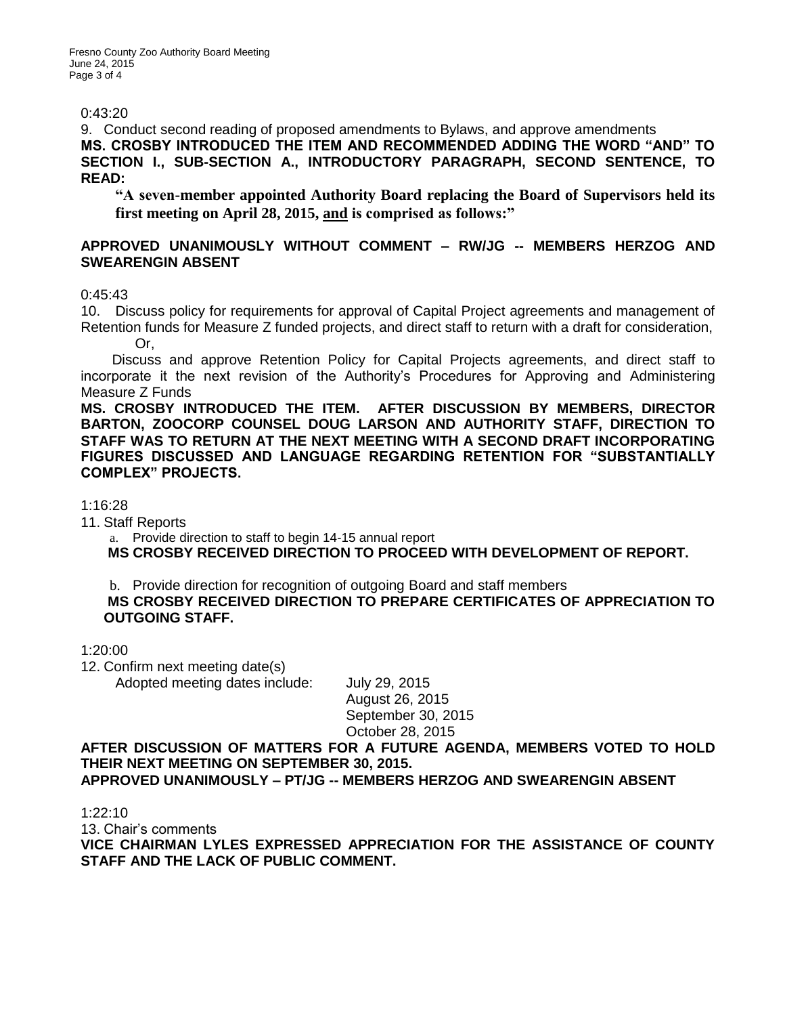Fresno County Zoo Authority Board Meeting June 24, 2015 Page 3 of 4

### 0:43:20

9. Conduct second reading of proposed amendments to Bylaws, and approve amendments **MS. CROSBY INTRODUCED THE ITEM AND RECOMMENDED ADDING THE WORD "AND" TO SECTION I., SUB-SECTION A., INTRODUCTORY PARAGRAPH, SECOND SENTENCE, TO READ:** 

**"A seven-member appointed Authority Board replacing the Board of Supervisors held its first meeting on April 28, 2015, and is comprised as follows:"**

### **APPROVED UNANIMOUSLY WITHOUT COMMENT – RW/JG -- MEMBERS HERZOG AND SWEARENGIN ABSENT**

0:45:43

10. Discuss policy for requirements for approval of Capital Project agreements and management of Retention funds for Measure Z funded projects, and direct staff to return with a draft for consideration, Or,

 Discuss and approve Retention Policy for Capital Projects agreements, and direct staff to incorporate it the next revision of the Authority's Procedures for Approving and Administering Measure Z Funds

**MS. CROSBY INTRODUCED THE ITEM. AFTER DISCUSSION BY MEMBERS, DIRECTOR BARTON, ZOOCORP COUNSEL DOUG LARSON AND AUTHORITY STAFF, DIRECTION TO STAFF WAS TO RETURN AT THE NEXT MEETING WITH A SECOND DRAFT INCORPORATING FIGURES DISCUSSED AND LANGUAGE REGARDING RETENTION FOR "SUBSTANTIALLY COMPLEX" PROJECTS.**

1:16:28

11. Staff Reports

a. Provide direction to staff to begin 14-15 annual report

**MS CROSBY RECEIVED DIRECTION TO PROCEED WITH DEVELOPMENT OF REPORT.**

b. Provide direction for recognition of outgoing Board and staff members **MS CROSBY RECEIVED DIRECTION TO PREPARE CERTIFICATES OF APPRECIATION TO OUTGOING STAFF.**

1:20:00

12. Confirm next meeting date(s)

Adopted meeting dates include: July 29, 2015

August 26, 2015 September 30, 2015 October 28, 2015

**AFTER DISCUSSION OF MATTERS FOR A FUTURE AGENDA, MEMBERS VOTED TO HOLD THEIR NEXT MEETING ON SEPTEMBER 30, 2015. APPROVED UNANIMOUSLY – PT/JG -- MEMBERS HERZOG AND SWEARENGIN ABSENT**

1:22:10

13. Chair's comments

**VICE CHAIRMAN LYLES EXPRESSED APPRECIATION FOR THE ASSISTANCE OF COUNTY STAFF AND THE LACK OF PUBLIC COMMENT.**